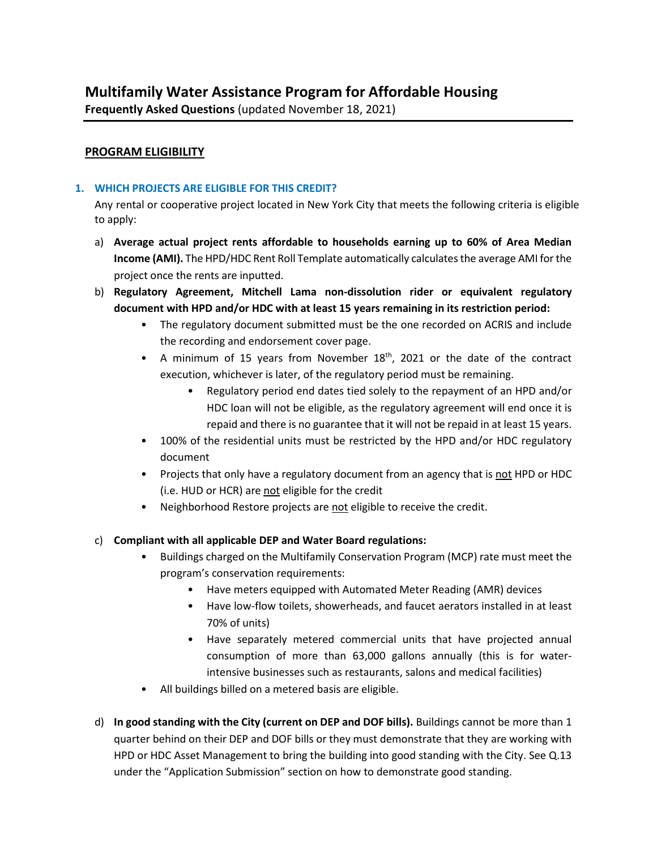**Frequently Asked Questions** (updated November 18, 2021)

## **PROGRAM ELIGIBILITY**

## **1. WHICH PROJECTS ARE ELIGIBLE FOR THIS CREDIT?**

Any rental or cooperative project located in New York City that meets the following criteria is eligible to apply:

- a) **Average actual project rents affordable to households earning up to 60% of Area Median Income (AMI).** The HPD/HDC Rent Roll Template automatically calculates the average AMI for the project once the rents are inputted.
- b) **Regulatory Agreement, Mitchell Lama non-dissolution rider or equivalent regulatory document with HPD and/or HDC with at least 15 years remaining in its restriction period:**
	- The regulatory document submitted must be the one recorded on ACRIS and include the recording and endorsement cover page.
	- A minimum of 15 years from November 18<sup>th</sup>, 2021 or the date of the contract execution, whichever is later, of the regulatory period must be remaining.
		- Regulatory period end dates tied solely to the repayment of an HPD and/or HDC loan will not be eligible, as the regulatory agreement will end once it is repaid and there is no guarantee that it will not be repaid in at least 15 years.
	- 100% of the residential units must be restricted by the HPD and/or HDC regulatory document
	- Projects that only have a regulatory document from an agency that is not HPD or HDC (i.e. HUD or HCR) are not eligible for the credit
	- Neighborhood Restore projects are not eligible to receive the credit.

## c) **Compliant with all applicable DEP and Water Board regulations:**

- Buildings charged on the Multifamily Conservation Program (MCP) rate must meet the program's conservation requirements:
	- Have meters equipped with Automated Meter Reading (AMR) devices
	- Have low-flow toilets, showerheads, and faucet aerators installed in at least 70% of units)
	- Have separately metered commercial units that have projected annual consumption of more than 63,000 gallons annually (this is for waterintensive businesses such as restaurants, salons and medical facilities)
- All buildings billed on a metered basis are eligible.
- d) **In good standing with the City (current on DEP and DOF bills).** Buildings cannot be more than 1 quarter behind on their DEP and DOF bills or they must demonstrate that they are working with HPD or HDC Asset Management to bring the building into good standing with the City. See Q.13 under the "Application Submission" section on how to demonstrate good standing.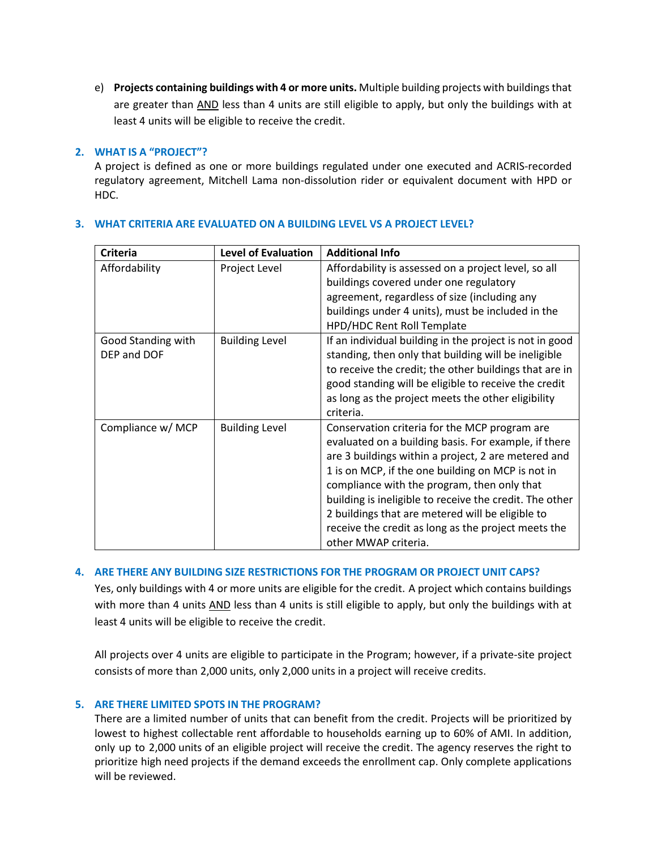e) **Projects containing buildings with 4 or more units.** Multiple building projects with buildings that are greater than AND less than 4 units are still eligible to apply, but only the buildings with at least 4 units will be eligible to receive the credit.

## **2. WHAT IS A "PROJECT"?**

A project is defined as one or more buildings regulated under one executed and ACRIS-recorded regulatory agreement, Mitchell Lama non-dissolution rider or equivalent document with HPD or HDC.

| <b>Criteria</b>                   | <b>Level of Evaluation</b> | <b>Additional Info</b>                                                                                                                                                                                                                                                                                                                                                                                                                                         |
|-----------------------------------|----------------------------|----------------------------------------------------------------------------------------------------------------------------------------------------------------------------------------------------------------------------------------------------------------------------------------------------------------------------------------------------------------------------------------------------------------------------------------------------------------|
| Affordability                     | Project Level              | Affordability is assessed on a project level, so all<br>buildings covered under one regulatory<br>agreement, regardless of size (including any<br>buildings under 4 units), must be included in the<br>HPD/HDC Rent Roll Template                                                                                                                                                                                                                              |
| Good Standing with<br>DEP and DOF | <b>Building Level</b>      | If an individual building in the project is not in good<br>standing, then only that building will be ineligible<br>to receive the credit; the other buildings that are in<br>good standing will be eligible to receive the credit<br>as long as the project meets the other eligibility<br>criteria.                                                                                                                                                           |
| Compliance w/ MCP                 | <b>Building Level</b>      | Conservation criteria for the MCP program are<br>evaluated on a building basis. For example, if there<br>are 3 buildings within a project, 2 are metered and<br>1 is on MCP, if the one building on MCP is not in<br>compliance with the program, then only that<br>building is ineligible to receive the credit. The other<br>2 buildings that are metered will be eligible to<br>receive the credit as long as the project meets the<br>other MWAP criteria. |

## **3. WHAT CRITERIA ARE EVALUATED ON A BUILDING LEVEL VS A PROJECT LEVEL?**

## **4. ARE THERE ANY BUILDING SIZE RESTRICTIONS FOR THE PROGRAM OR PROJECT UNIT CAPS?**

Yes, only buildings with 4 or more units are eligible for the credit. A project which contains buildings with more than 4 units AND less than 4 units is still eligible to apply, but only the buildings with at least 4 units will be eligible to receive the credit.

All projects over 4 units are eligible to participate in the Program; however, if a private-site project consists of more than 2,000 units, only 2,000 units in a project will receive credits.

## **5. ARE THERE LIMITED SPOTS IN THE PROGRAM?**

There are a limited number of units that can benefit from the credit. Projects will be prioritized by lowest to highest collectable rent affordable to households earning up to 60% of AMI. In addition, only up to 2,000 units of an eligible project will receive the credit. The agency reserves the right to prioritize high need projects if the demand exceeds the enrollment cap. Only complete applications will be reviewed.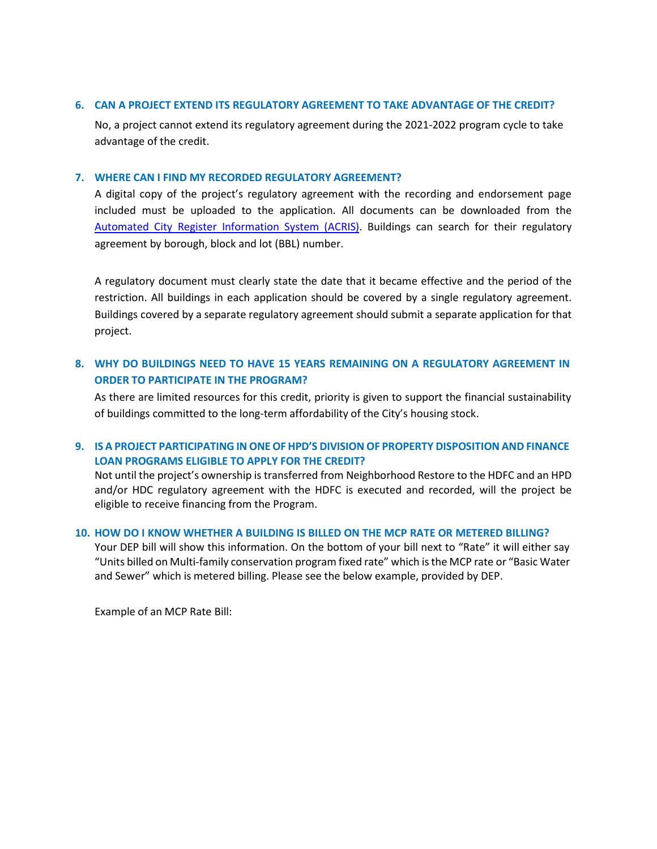#### **6. CAN A PROJECT EXTEND ITS REGULATORY AGREEMENT TO TAKE ADVANTAGE OF THE CREDIT?**

No, a project cannot extend its regulatory agreement during the 2021-2022 program cycle to take advantage of the credit.

#### **7. WHERE CAN I FIND MY RECORDED REGULATORY AGREEMENT?**

A digital copy of the project's regulatory agreement with the recording and endorsement page included must be uploaded to the application. All documents can be downloaded from the [Automated City Register Information System \(ACRIS\).](https://a836-acris.nyc.gov/DS/DocumentSearch/BBL) Buildings can search for their regulatory agreement by borough, block and lot (BBL) number.

A regulatory document must clearly state the date that it became effective and the period of the restriction. All buildings in each application should be covered by a single regulatory agreement. Buildings covered by a separate regulatory agreement should submit a separate application for that project.

# **8. WHY DO BUILDINGS NEED TO HAVE 15 YEARS REMAINING ON A REGULATORY AGREEMENT IN ORDER TO PARTICIPATE IN THE PROGRAM?**

As there are limited resources for this credit, priority is given to support the financial sustainability of buildings committed to the long-term affordability of the City's housing stock.

## **9. IS A PROJECT PARTICIPATING IN ONEOF HPD'S DIVISION OF PROPERTY DISPOSITION AND FINANCE LOAN PROGRAMS ELIGIBLE TO APPLY FOR THE CREDIT?**

Not until the project's ownership is transferred from Neighborhood Restore to the HDFC and an HPD and/or HDC regulatory agreement with the HDFC is executed and recorded, will the project be eligible to receive financing from the Program.

#### **10. HOW DO I KNOW WHETHER A BUILDING IS BILLED ON THE MCP RATE OR METERED BILLING?**

Your DEP bill will show this information. On the bottom of your bill next to "Rate" it will either say "Units billed on Multi-family conservation program fixed rate" which isthe MCP rate or "Basic Water and Sewer" which is metered billing. Please see the below example, provided by DEP.

Example of an MCP Rate Bill: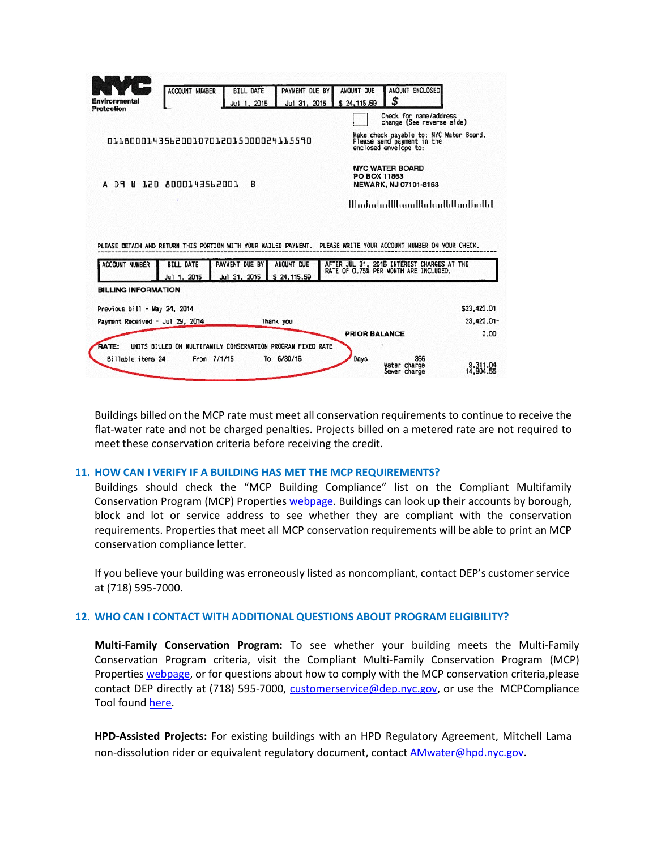|                                           | <b>ACCOUNT NUMBER</b>                                       | <b>BILL DATE</b>               | PAYMENT DUE BY            | AMOUNT DUE    | AMOUNT ENCLOSED                                                                                                                                                                                        |             |
|-------------------------------------------|-------------------------------------------------------------|--------------------------------|---------------------------|---------------|--------------------------------------------------------------------------------------------------------------------------------------------------------------------------------------------------------|-------------|
| <b>Environmental</b><br><b>Protection</b> |                                                             | Jul 1, 2015                    | Jul 31, 2015              | \$24,115.59   | \$                                                                                                                                                                                                     |             |
|                                           |                                                             |                                |                           |               | Check for name/address<br>change (See reverse side)                                                                                                                                                    |             |
|                                           | 011800014356200107012015000024115590                        |                                |                           |               | Make check payable to: NYC Water Board.<br>Please send payment in the<br>enclosed envelope to:                                                                                                         |             |
|                                           |                                                             |                                |                           | PO BOX 11863  | <b>NYC WATER BOARD</b>                                                                                                                                                                                 |             |
|                                           | D9 W 120 8000143562001                                      | R                              |                           |               | NEWARK, NJ 07101-8163                                                                                                                                                                                  |             |
|                                           |                                                             |                                |                           |               | <u>MadadadWaaalKalaalkWaaBadla</u> l                                                                                                                                                                   |             |
|                                           |                                                             |                                |                           |               |                                                                                                                                                                                                        |             |
| <b>ACCOUNT NUMBER</b>                     | <b>BILL DATE</b><br>Jul 1, 2015                             | PAYMENT DUE BY<br>Jul 31, 2015 | AMOUNT DUE<br>\$24,115.59 |               | PLEASE DETACH AND RETURN THIS PORTION WITH YOUR MAILED PAYMENT. PLEASE WRITE YOUR ACCOUNT NUMBER ON YOUR CHECK.<br>AFTER JUL 31, 2015 INTEREST CHARGES AT THE<br>RATE OF 0.75% PER MONTH ARE INCLUDED. |             |
| <b>BILLING INFORMATION</b>                |                                                             |                                |                           |               |                                                                                                                                                                                                        |             |
| Previous bill - May 24, 2014              |                                                             |                                |                           |               |                                                                                                                                                                                                        | \$23,420.01 |
| Payment Received - Jul 29, 2014           |                                                             |                                | Thank you                 |               |                                                                                                                                                                                                        | 23,420.01-  |
|                                           |                                                             |                                |                           | PRIOR BALANCE |                                                                                                                                                                                                        | 0.00        |
| <b>RATE:</b>                              | UNITS BILLED ON MULTIFAMILY CONSERVATION PROGRAM FIXED RATE |                                |                           |               |                                                                                                                                                                                                        |             |

Buildings billed on the MCP rate must meet all conservation requirements to continue to receive the flat-water rate and not be charged penalties. Projects billed on a metered rate are not required to meet these conservation criteria before receiving the credit.

#### **11. HOW CAN I VERIFY IF A BUILDING HAS MET THE MCP REQUIREMENTS?**

Buildings should check the "MCP Building Compliance" list on the Compliant Multifamily Conservation Program (MCP) Propertie[s webpage. B](https://www1.nyc.gov/site/dep/pay-my-bills/multi-family-conservation-program.page#%3A%7E%3Atext%3DThe%20program%20objective%20is%20to%2Cbe%20expelled%20from%20the%20program)uildings can look up their accounts by borough, block and lot or service address to see whether they are compliant with the conservation requirements. Properties that meet all MCP conservation requirements will be able to print an MCP conservation compliance letter.

If you believe your building was erroneously listed as noncompliant, contact DEP's customer service at (718) 595-7000.

#### **12. WHO CAN I CONTACT WITH ADDITIONAL QUESTIONS ABOUT PROGRAM ELIGIBILITY?**

**Multi-Family Conservation Program:** To see whether your building meets the Multi-Family Conservation Program criteria, visit the Compliant Multi-Family Conservation Program (MCP) Properties [webpage,](https://www1.nyc.gov/site/dep/pay-my-bills/multi-family-conservation-program.page#%3A%7E%3Atext%3DThe%20program%20objective%20is%20to%2Cbe%20expelled%20from%20the%20program) or for questions about how to comply with the MCP conservation criteria,please contact DEP directly at (718) 595-7000, [customerservice@dep.nyc.gov,](mailto:customerservice@dep.nyc.gov) or use the MCPCompliance Tool found [here.](https://www1.nyc.gov/site/dep/pay-my-bills/multi-family-conservation-program.page#%3A%7E%3Atext%3DThe%20program%20objective%20is%20to%2Cbe%20expelled%20from%20the%20program)

**HPD-Assisted Projects:** For existing buildings with an HPD Regulatory Agreement, Mitchell Lama non-dissolution rider or equivalent regulatory document, contact [AMwater@hpd.nyc.gov.](mailto:AMwater@hpd.nyc.gov)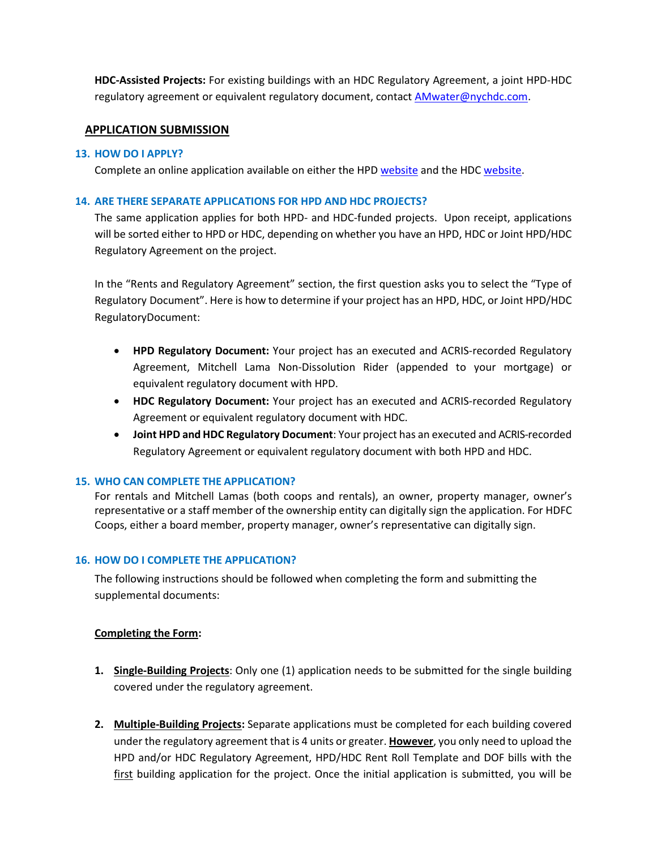**HDC-Assisted Projects:** For existing buildings with an HDC Regulatory Agreement, a joint HPD-HDC regulatory agreement or equivalent regulatory document, contact [AMwater@nychdc.com.](mailto:AMwater@nychdc.com)

### **APPLICATION SUBMISSION**

#### **13. HOW DO I APPLY?**

Complete an online application available on either the HP[D website](https://www1.nyc.gov/site/hpd/services-and-information/multifamily-water-assistance-program.page) and the HDC [website.](http://nychdc.com/Multifamily-Water-Assistance-Program) 

#### **14. ARE THERE SEPARATE APPLICATIONS FOR HPD AND HDC PROJECTS?**

The same application applies for both HPD- and HDC-funded projects. Upon receipt, applications will be sorted either to HPD or HDC, depending on whether you have an HPD, HDC or Joint HPD/HDC Regulatory Agreement on the project.

In the "Rents and Regulatory Agreement" section, the first question asks you to select the "Type of Regulatory Document". Here is how to determine if your project has an HPD, HDC, or Joint HPD/HDC RegulatoryDocument:

- **HPD Regulatory Document:** Your project has an executed and ACRIS-recorded Regulatory Agreement, Mitchell Lama Non-Dissolution Rider (appended to your mortgage) or equivalent regulatory document with HPD.
- **HDC Regulatory Document:** Your project has an executed and ACRIS-recorded Regulatory Agreement or equivalent regulatory document with HDC.
- **Joint HPD and HDC Regulatory Document**: Your project has an executed and ACRIS-recorded Regulatory Agreement or equivalent regulatory document with both HPD and HDC.

#### **15. WHO CAN COMPLETE THE APPLICATION?**

For rentals and Mitchell Lamas (both coops and rentals), an owner, property manager, owner's representative or a staff member of the ownership entity can digitally sign the application. For HDFC Coops, either a board member, property manager, owner's representative can digitally sign.

#### **16. HOW DO I COMPLETE THE APPLICATION?**

The following instructions should be followed when completing the form and submitting the supplemental documents:

#### **Completing the Form:**

- **1. Single-Building Projects**: Only one (1) application needs to be submitted for the single building covered under the regulatory agreement.
- **2. Multiple-Building Projects:** Separate applications must be completed for each building covered under the regulatory agreement that is 4 units or greater. **However**, you only need to upload the HPD and/or HDC Regulatory Agreement, HPD/HDC Rent Roll Template and DOF bills with the first building application for the project. Once the initial application is submitted, you will be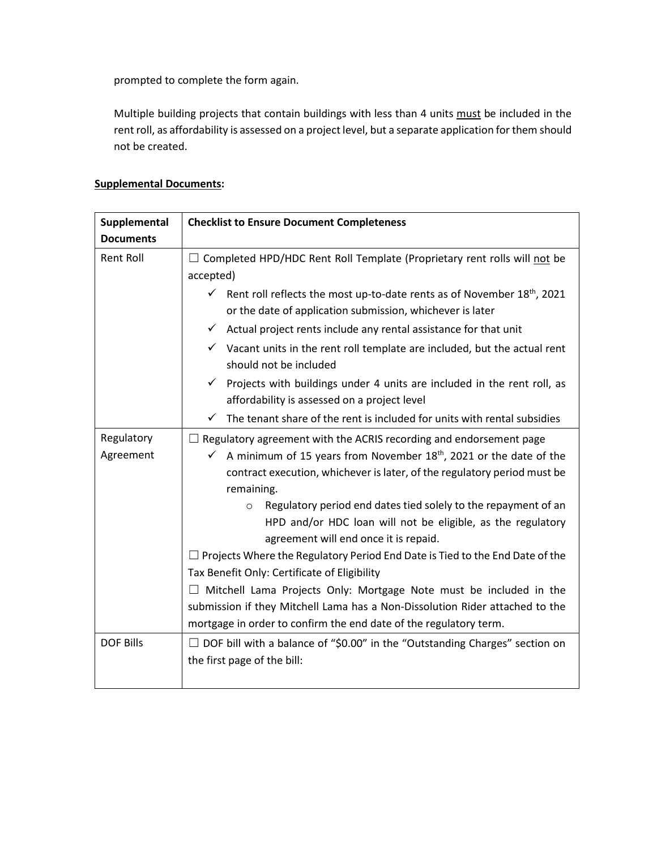prompted to complete the form again.

Multiple building projects that contain buildings with less than 4 units must be included in the rent roll, as affordability is assessed on a project level, but a separate application for them should not be created.

# **Supplemental Documents:**

| Supplemental            | <b>Checklist to Ensure Document Completeness</b>                                                                                                                                  |  |  |  |  |
|-------------------------|-----------------------------------------------------------------------------------------------------------------------------------------------------------------------------------|--|--|--|--|
| <b>Documents</b>        |                                                                                                                                                                                   |  |  |  |  |
| <b>Rent Roll</b>        | $\Box$ Completed HPD/HDC Rent Roll Template (Proprietary rent rolls will not be<br>accepted)                                                                                      |  |  |  |  |
|                         | Rent roll reflects the most up-to-date rents as of November 18 <sup>th</sup> , 2021<br>✓<br>or the date of application submission, whichever is later                             |  |  |  |  |
|                         | $\checkmark$ Actual project rents include any rental assistance for that unit                                                                                                     |  |  |  |  |
|                         | $\checkmark$ Vacant units in the rent roll template are included, but the actual rent<br>should not be included                                                                   |  |  |  |  |
|                         | $\checkmark$ Projects with buildings under 4 units are included in the rent roll, as<br>affordability is assessed on a project level                                              |  |  |  |  |
|                         | The tenant share of the rent is included for units with rental subsidies<br>$\checkmark$                                                                                          |  |  |  |  |
| Regulatory<br>Agreement | $\Box$ Regulatory agreement with the ACRIS recording and endorsement page<br>$\checkmark$ A minimum of 15 years from November 18 <sup>th</sup> , 2021 or the date of the          |  |  |  |  |
|                         | contract execution, whichever is later, of the regulatory period must be<br>remaining.                                                                                            |  |  |  |  |
|                         | Regulatory period end dates tied solely to the repayment of an<br>$\circ$<br>HPD and/or HDC loan will not be eligible, as the regulatory<br>agreement will end once it is repaid. |  |  |  |  |
|                         | $\Box$ Projects Where the Regulatory Period End Date is Tied to the End Date of the<br>Tax Benefit Only: Certificate of Eligibility                                               |  |  |  |  |
|                         | $\Box$ Mitchell Lama Projects Only: Mortgage Note must be included in the                                                                                                         |  |  |  |  |
|                         | submission if they Mitchell Lama has a Non-Dissolution Rider attached to the                                                                                                      |  |  |  |  |
|                         | mortgage in order to confirm the end date of the regulatory term.                                                                                                                 |  |  |  |  |
| <b>DOF Bills</b>        | $\Box$ DOF bill with a balance of "\$0.00" in the "Outstanding Charges" section on                                                                                                |  |  |  |  |
|                         | the first page of the bill:                                                                                                                                                       |  |  |  |  |
|                         |                                                                                                                                                                                   |  |  |  |  |